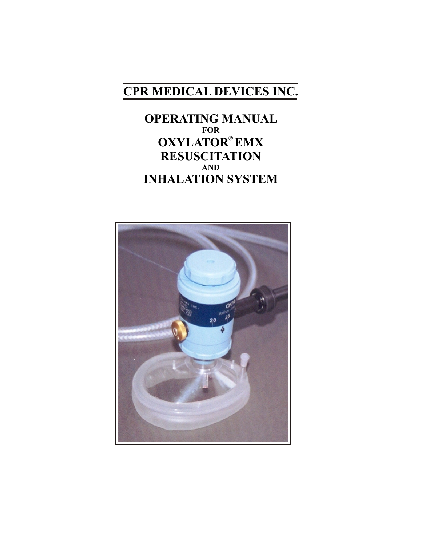# **CPR MEDICAL DEVICES INC.**

**OPERATING MANUAL FOR ® OXYLATOR EMX RESUSCITATION AND INHALATION SYSTEM**

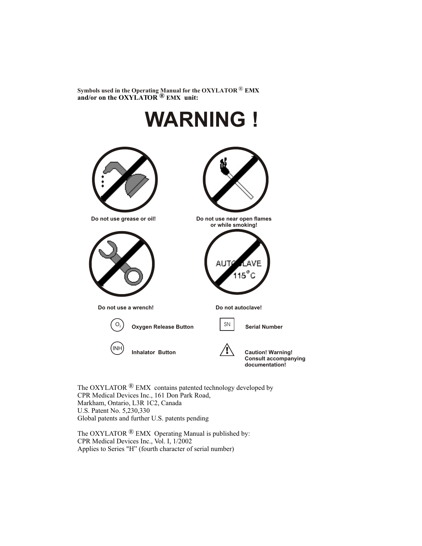® **Symbols used in the Operating Manual for the OXYLATOR EMX** and/or on the OXYLATOR<sup>®</sup> EMX unit:



The OXYLATOR  $\mathbb{R}$  EMX contains patented technology developed by CPR Medical Devices Inc., 161 Don Park Road, Markham, Ontario, L3R 1C2, Canada U.S. Patent No. 5,230,330 Global patents and further U.S. patents pending

The OXYLATOR  $\mathbb{R}$  EMX Operating Manual is published by: CPR Medical Devices Inc., Vol. I, 1/2002 Applies to Series "H" (fourth character of serial number)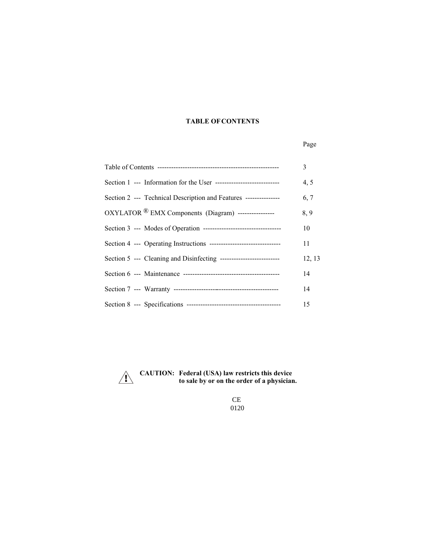## **TABLE OF CONTENTS**

## Page

|                                                                          | 3      |
|--------------------------------------------------------------------------|--------|
|                                                                          | 4, 5   |
| Section 2 --- Technical Description and Features ---------------         | 6, 7   |
| OXYLATOR <sup>®</sup> EMX Components (Diagram) -----------------         | 8,9    |
|                                                                          | 10     |
| Section 4 --- Operating Instructions ----------------------------------- | 11     |
|                                                                          | 12, 13 |
|                                                                          | 14     |
|                                                                          | 14     |
|                                                                          | 15     |



 **CAUTION: Federal (USA) law restricts this device to sale by or on the order of a physician.**

> CE 0120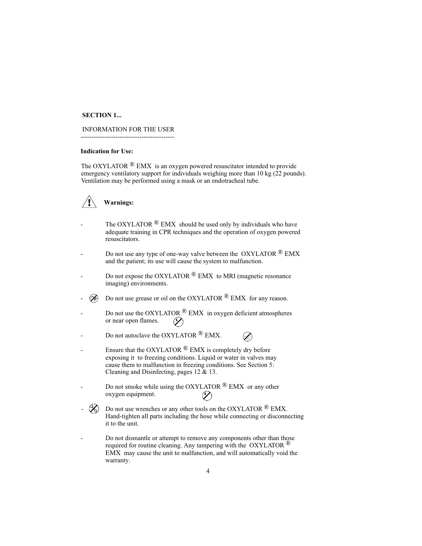## **SECTION 1...**

 INFORMATION FOR THE USER -------------------------------------------

#### **Indication for Use:**

The OXYLATOR  $\mathcal{R}$  EMX is an oxygen powered resuscitator intended to provide emergency ventilatory support for individuals weighing more than 10 kg (22 pounds). Ventilation may be performed using a mask or an endotracheal tube.

## **Warnings:**

- The OXYLATOR  $\mathbb{R}$  EMX should be used only by individuals who have adequate training in CPR techniques and the operation of oxygen powered resuscitators.
- Do not use any type of one-way valve between the OXYLATOR  $^{\circledR}$  EMX and the patient; its use will cause the system to malfunction.
- Do not expose the OXYLATOR  $\mathbb{R}$  EMX to MRI (magnetic resonance imaging) environments.
- $\otimes$  Do not use grease or oil on the OXYLATOR  $\otimes$  EMX for any reason.
- Do not use the OXYLATOR  $\mathbb{R}$  EMX in oxygen deficient atmospheres or near open flames.  $\oslash$
- Do not autoclave the OXYLATOR  $\bigcirc$  EMX. P.
- Ensure that the OXYLATOR  $\mathbb{R}$  EMX is completely dry before exposing it to freezing conditions. Liquid or water in valves may cause them to malfunction in freezing conditions. See Section 5: Cleaning and Disinfecting, pages 12 & 13.
- Do not smoke while using the OXYLATOR  $\bigcirc$  EMX or any other oxygen equipment.
- $\mathscr{L}$  Do not use wrenches or any other tools on the OXYLATOR  $\mathscr{R}$  EMX. Hand-tighten all parts including the hose while connecting or disconnecting it to the unit.
- Do not dismantle or attempt to remove any components other than those required for routine cleaning. Any tampering with the OXYLATOR  $\mathbb{R}^{\mathbb{Q}}$ EMX may cause the unit to malfunction, and will automatically void the warranty.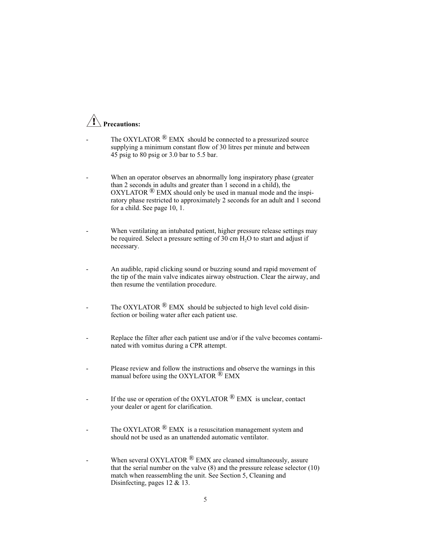## **Precautions:**

- The OXYLATOR  $\mathbb{R}$  EMX should be connected to a pressurized source supplying a minimum constant flow of 30 litres per minute and between 45 psig to 80 psig or 3.0 bar to 5.5 bar.
- When an operator observes an abnormally long inspiratory phase (greater than 2 seconds in adults and greater than 1 second in a child), the OXYLATOR  $\mathbb{R}$  EMX should only be used in manual mode and the inspiratory phase restricted to approximately 2 seconds for an adult and 1 second for a child. See page 10, 1.
- When ventilating an intubated patient, higher pressure release settings may be required. Select a pressure setting of 30 cm  $H<sub>2</sub>O$  to start and adjust if necessary.
- An audible, rapid clicking sound or buzzing sound and rapid movement of the tip of the main valve indicates airway obstruction. Clear the airway, and then resume the ventilation procedure.
- The OXYLATOR  $\mathbb{R}$  EMX should be subjected to high level cold disinfection or boiling water after each patient use.
- Replace the filter after each patient use and/or if the valve becomes contaminated with vomitus during a CPR attempt.
- Please review and follow the instructions and observe the warnings in this manual before using the OXYLATOR  $^{\circledR}$  EMX
- If the use or operation of the OXYLATOR  $\mathbb{R}$  EMX is unclear, contact your dealer or agent for clarification.
- The OXYLATOR  $\mathbb{B}$  EMX is a resuscitation management system and should not be used as an unattended automatic ventilator.
- When several OXYLATOR  $\mathbb{R}$  EMX are cleaned simultaneously, assure that the serial number on the valve (8) and the pressure release selector (10) match when reassembling the unit. See Section 5, Cleaning and Disinfecting, pages 12 & 13.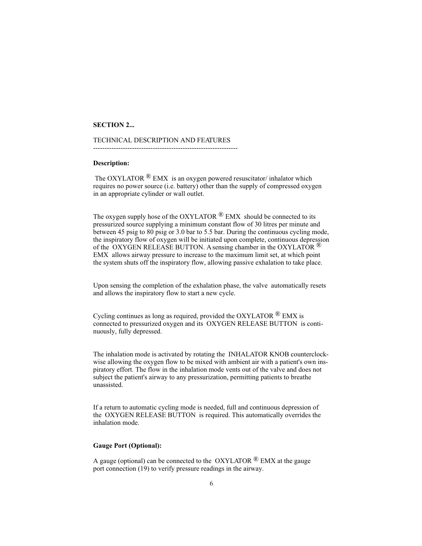#### **SECTION 2...**

#### TECHNICAL DESCRIPTION AND FEATURES

---------------------------------------------------------------

### **Description:**

The OXYLATOR  $\mathbb{R}$  EMX is an oxygen powered resuscitator/ inhalator which requires no power source (i.e. battery) other than the supply of compressed oxygen in an appropriate cylinder or wall outlet.

The oxygen supply hose of the OXYLATOR  $^{\circledR}$  EMX should be connected to its pressurized source supplying a minimum constant flow of 30 litres per minute and between 45 psig to 80 psig or 3.0 bar to 5.5 bar. During the continuous cycling mode, the inspiratory flow of oxygen will be initiated upon complete, continuous depression of the OXYGEN RELEASE BUTTON. A sensing chamber in the OXYLATOR  $\mathbb{R}$ EMX allows airway pressure to increase to the maximum limit set, at which point the system shuts off the inspiratory flow, allowing passive exhalation to take place.

Upon sensing the completion of the exhalation phase, the valve automatically resets and allows the inspiratory flow to start a new cycle.

Cycling continues as long as required, provided the OXYLATOR  $^{\circledR}$  EMX is connected to pressurized oxygen and its OXYGEN RELEASE BUTTON is continuously, fully depressed.

The inhalation mode is activated by rotating the INHALATOR KNOB counterclockwise allowing the oxygen flow to be mixed with ambient air with a patient's own inspiratory effort. The flow in the inhalation mode vents out of the valve and does not subject the patient's airway to any pressurization, permitting patients to breathe unassisted.

If a return to automatic cycling mode is needed, full and continuous depression of the OXYGEN RELEASE BUTTON is required. This automatically overrides the inhalation mode.

#### **Gauge Port (Optional):**

A gauge (optional) can be connected to the  $OXYLATOR \overset{\textcircled{\textcirc}}{P} EMX$  at the gauge port connection (19) to verify pressure readings in the airway.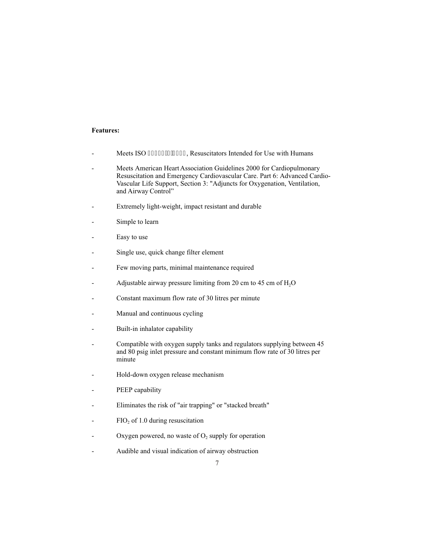### **Features:**

- Meets ISO 32873/74228, Resuscitators Intended for Use with Humans
- Meets American Heart Association Guidelines 2000 for Cardiopulmonary Resuscitation and Emergency Cardiovascular Care. Part 6: Advanced Cardio-Vascular Life Support, Section 3: "Adjuncts for Oxygenation, Ventilation, and Airway Control"
- Extremely light-weight, impact resistant and durable
- Simple to learn
- Easy to use
- Single use, quick change filter element
- Few moving parts, minimal maintenance required
- Adjustable airway pressure limiting from 20 cm to 45 cm of  $H_2O$
- Constant maximum flow rate of 30 litres per minute
- Manual and continuous cycling
- Built-in inhalator capability
- Compatible with oxygen supply tanks and regulators supplying between 45 and 80 psig inlet pressure and constant minimum flow rate of 30 litres per minute
- Hold-down oxygen release mechanism
- PEEP capability
- Eliminates the risk of "air trapping" or "stacked breath"
- $FIO<sub>2</sub>$  of 1.0 during resuscitation
- Oxygen powered, no waste of  $O_2$  supply for operation
- Audible and visual indication of airway obstruction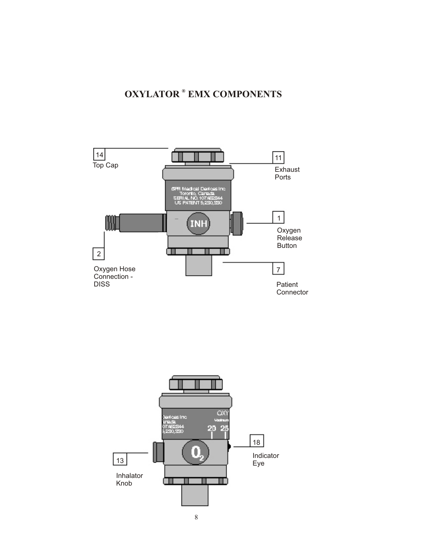## **OXYLATOR ® EMX COMPONENTS**



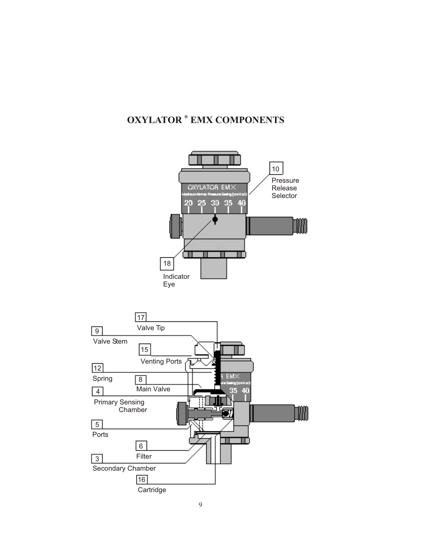## **OXYLATOR ® EMX COMPONENTS**

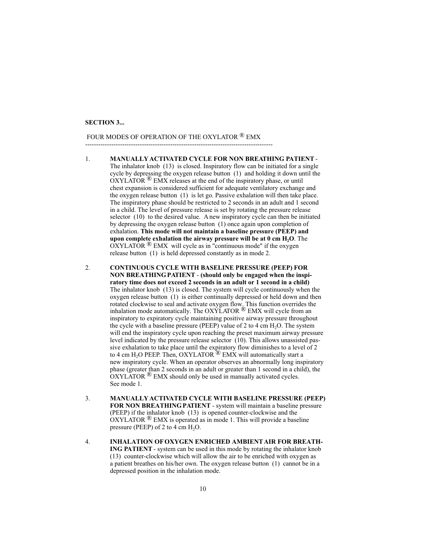#### **SECTION 3...**

## FOUR MODES OF OPERATION OF THE OXYLATOR <sup>®</sup> EMX

--------------------------------------------------------------------------------------

- 1. **MANUALLY ACTIVATED CYCLE FOR NON BREATHING PATIENT** The inhalator knob (13) is closed. Inspiratory flow can be initiated for a single cycle by depressing the oxygen release button (1) and holding it down until the  $\overrightarrow{OXYLATOR}$ <sup>®</sup> EMX releases at the end of the inspiratory phase, or until chest expansion is considered sufficient for adequate ventilatory exchange and the oxygen release button (1) is let go. Passive exhalation will then take place. The inspiratory phase should be restricted to 2 seconds in an adult and 1 second in a child. The level of pressure release is set by rotating the pressure release selector (10) to the desired value. A new inspiratory cycle can then be initiated by depressing the oxygen release button (1) once again upon completion of exhalation. **This mode will not maintain a baseline pressure (PEEP) and upon complete exhalation the airway pressure will be at 0 cm H<sub>2</sub>O**. The  $\overline{\text{OXYLATOR}}$ <sup>®</sup> EMX will cycle as in "continuous mode" if the oxygen release button (1) is held depressed constantly as in mode 2.
- 2. **CONTINUOUS CYCLE WITH BASELINE PRESSURE (PEEP) FOR NON BREATHING PATIENT** - **(should only be engaged when the inspiratory time does not exceed 2 seconds in an adult or 1 second in a child)** The inhalator knob (13) is closed. The system will cycle continuously when the oxygen release button (1) is either continually depressed or held down and then rotated clockwise to seal and activate oxygen flow. This function overrides the inhalation mode automatically. The OXYLATOR  $^{\circledR}$  EMX will cycle from an inspiratory to expiratory cycle maintaining positive airway pressure throughout the cycle with a baseline pressure (PEEP) value of 2 to 4 cm  $H<sub>2</sub>O$ . The system will end the inspiratory cycle upon reaching the preset maximum airway pressure level indicated by the pressure release selector (10). This allows unassisted passive exhalation to take place until the expiratory flow diminishes to a level of 2 to 4 cm H<sub>2</sub>O PEEP. Then, OXYLATOR<sup><sup>1</sup>®</sup> EMX will automatically start a new inspiratory cycle. When an operator observes an abnormally long inspiratory phase (greater than 2 seconds in an adult or greater than 1 second in a child), the  $\overline{OXYLATOR}$ <sup>®</sup> EMX should only be used in manually activated cycles. See mode 1.
- 3. **MANUALLY ACTIVATED CYCLE WITH BASELINE PRESSURE (PEEP) FOR NON BREATHING PATIENT** - system will maintain a baseline pressure (PEEP) if the inhalator knob (13) is opened counter-clockwise and the  $\overline{O}XYLATOR \otimes EMX$  is operated as in mode 1. This will provide a baseline pressure (PEEP) of 2 to 4 cm  $H_2O$ .
- 4. **INHALATION OF OXYGEN ENRICHED AMBIENT AIR FOR BREATH-ING PATIENT** - system can be used in this mode by rotating the inhalator knob (13) counter-clockwise which will allow the air to be enriched with oxygen as a patient breathes on his/her own. The oxygen release button (1) cannot be in a depressed position in the inhalation mode.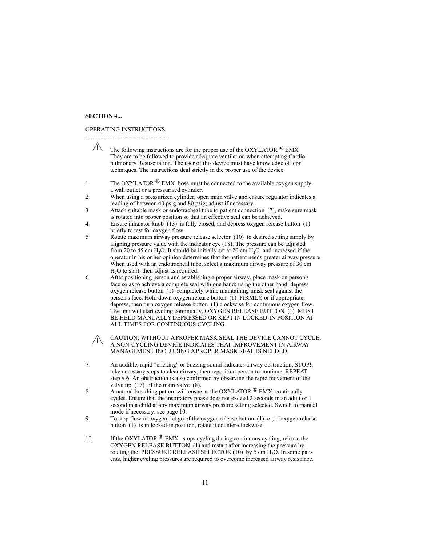#### **SECTION 4...**

OPERATING INSTRUCTIONS

-----------------------------------------  $\sqrt{N}$ The following instructions are for the proper use of the OXYLATOR  $^{\circledR}$  EMX They are to be followed to provide adequate ventilation when attempting Cardiopulmonary Resuscitation. The user of this device must have knowledge of cpr techniques. The instructions deal strictly in the proper use of the device. 1. The OXYLATOR  $\mathbb{R}$  EMX hose must be connected to the available oxygen supply, a wall outlet or a pressurized cylinder. 2. When using a pressurized cylinder, open main valve and ensure regulator indicates a reading of between 40 psig and 80 psig; adjust if necessary. 3. Attach suitable mask or endotracheal tube to patient connection (7), make sure mask is rotated into proper position so that an effective seal can be achieved. 4. Ensure inhalator knob (13) is fully closed, and depress oxygen release button (1) briefly to test for oxygen flow. 5. Rotate maximum airway pressure release selector (10) to desired setting simply by aligning pressure value with the indicator eye (18). The pressure can be adjusted from 20 to 45 cm H<sub>2</sub>O. It should be initially set at 20 cm H<sub>2</sub>O and increased if the operator in his or her opinion determines that the patient needs greater airway pressure. When used with an endotracheal tube, select a maximum airway pressure of 30 cm  $H<sub>2</sub>O$  to start, then adjust as required. 6. After positioning person and establishing a proper airway, place mask on person's face so as to achieve a complete seal with one hand; using the other hand, depress oxygen release button (1) completely while maintaining mask seal against the person's face. Hold down oxygen release button (1) FIRMLY, or if appropriate, depress, then turn oxygen release button (1) clockwise for continuous oxygen flow. The unit will start cycling continually. OXYGEN RELEASE BUTTON (1) MUST BE HELD MANUALLY DEPRESSED OR KEPT IN LOCKED-IN POSITION AT ALL TIMES FOR CONTINUOUS CYCLING. CAUTION; WITHOUT A PROPER MASK SEAL THE DEVICE CANNOT CYCLE.  $\sqrt{N}$ A NON-CYCLING DEVICE INDICATES THAT IMPROVEMENT IN AIRWAY MANAGEMENT INCLUDING A PROPER MASK SEAL IS NEEDED. 7. An audible, rapid "clicking" or buzzing sound indicates airway obstruction, STOP!, take necessary steps to clear airway, then reposition person to continue. REPEAT step # 6. An obstruction is also confirmed by observing the rapid movement of the valve tip (17) of the main valve (8). 8. A natural breathing pattern will ensue as the OXYLATOR  $\bigcirc$  EMX continually cycles. Ensure that the inspiratory phase does not exceed 2 seconds in an adult or 1 second in a child at any maximum airway pressure setting selected. Switch to manual mode if necessary. see page 10. 9. To stop flow of oxygen, let go of the oxygen release button (1) or, if oxygen release button (1) is in locked-in position, rotate it counter-clockwise. 10. If the OXYLATOR  $^{\circledR}$  EMX stops cycling during continuous cycling, release the OXYGEN RELEASE BUTTON (1) and restart after increasing the pressure by rotating the PRESSURE RELEASE SELECTOR  $(10)$  by 5 cm  $H_2O$ . In some patients, higher cycling pressures are required to overcome increased airway resistance.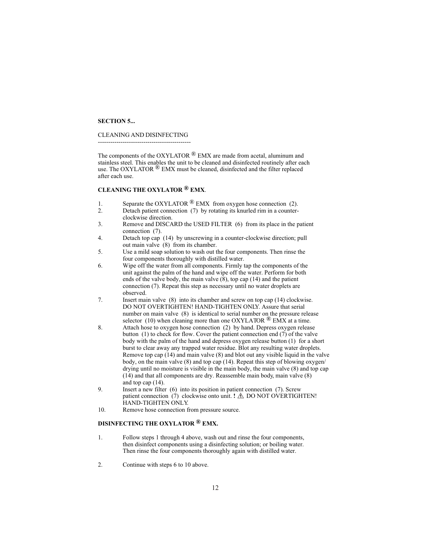#### **SECTION 5...**

#### CLEANING AND DISINFECTING

---------------------------------------------

The components of the OXYLATOR  $^{\circledR}$  EMX are made from acetal, aluminum and stainless steel. This enables the unit to be cleaned and disinfected routinely after each use. The OXYLATOR  $\mathcal{R}$  EMX must be cleaned, disinfected and the filter replaced after each use.

## **CLEANING THE OXYLATOR**  $^{\circledR}$  **EMX**.

- 1. Separate the OXYLATOR  $\mathbb{R}$  EMX from oxygen hose connection (2).
- 2. Detach patient connection (7) by rotating its knurled rim in a counterclockwise direction.
- 3. Remove and DISCARD the USED FILTER (6) from its place in the patient connection (7).
- 4. Detach top cap (14) by unscrewing in a counter-clockwise direction; pull out main valve (8) from its chamber.
- 5. Use a mild soap solution to wash out the four components. Then rinse the four components thoroughly with distilled water.
- 6. Wipe off the water from all components. Firmly tap the components of the unit against the palm of the hand and wipe off the water. Perform for both ends of the valve body, the main valve  $(8)$ , top cap (14) and the patient connection (7). Repeat this step as necessary until no water droplets are observed.
- 7. Insert main valve (8) into its chamber and screw on top cap (14) clockwise. DO NOT OVERTIGHTEN! HAND-TIGHTEN ONLY. Assure that serial number on main valve (8) is identical to serial number on the pressure release selector (10) when cleaning more than one OXYLATOR  $^{\circledR}$  EMX at a time.
- 8. Attach hose to oxygen hose connection (2) by hand. Depress oxygen release button (1) to check for flow. Cover the patient connection end (7) of the valve body with the palm of the hand and depress oxygen release button (1) for a short burst to clear away any trapped water residue. Blot any resulting water droplets. Remove top cap (14) and main valve (8) and blot out any visible liquid in the valve body, on the main valve (8) and top cap (14). Repeat this step of blowing oxygen/ drying until no moisture is visible in the main body, the main valve (8) and top cap (14) and that all components are dry. Reassemble main body, main valve (8) and top cap (14).
- 9. Insert a new filter (6) into its position in patient connection (7). Screw patient connection  $(7)$  clockwise onto unit. **!**  $\triangle$  DO NOT OVERTIGHTEN! HAND-TIGHTEN ONLY.
- 10. Remove hose connection from pressure source.

## **DISINFECTING THE OXYLATOR ® . EMX**

- 1. Follow steps 1 through 4 above, wash out and rinse the four components, then disinfect components using a disinfecting solution; or boiling water. Then rinse the four components thoroughly again with distilled water.
- 2. Continue with steps 6 to 10 above.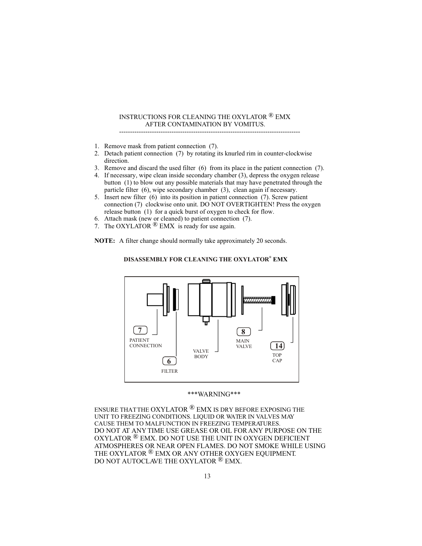## INSTRUCTIONS FOR CLEANING THE OXYLATOR  $^\circledR$  EMX AFTER CONTAMINATION BY VOMITUS. -----------------------------------------------------------------------------------

- 1. Remove mask from patient connection (7).
- 2. Detach patient connection (7) by rotating its knurled rim in counter-clockwise direction.
- 3. Remove and discard the used filter (6) from its place in the patient connection (7).
- 4. If necessary, wipe clean inside secondary chamber (3), depress the oxygen release button (1) to blow out any possible materials that may have penetrated through the particle filter (6), wipe secondary chamber (3), clean again if necessary.
- 5. Insert new filter (6) into its position in patient connection (7). Screw patient connection (7) clockwise onto unit. DO NOT OVERTIGHTEN! Press the oxygen release button (1) for a quick burst of oxygen to check for flow.
- 6. Attach mask (new or cleaned) to patient connection (7).
- 7. The OXYLATOR  $\bigcirc$  EMX is ready for use again.

**NOTE:** A filter change should normally take approximately 20 seconds.



## **® DISASSEMBLY FOR CLEANING THE OXYLATOR EMX**

### \*\*\*WARNING\*\*\*

ENSURE THAT THE OXYLATOR  $^\circledR$  EMX is DRY BEFORE EXPOSING THE UNIT TO FREEZING CONDITIONS. LIQUID OR WATER IN VALVES MAY CAUSE THEM TO MALFUNCTION IN FREEZING TEMPERATURES. DO NOT AT ANY TIME USE GREASE OR OIL FOR ANY PURPOSE ON THE OXYLATOR  $^\circledR$  EMX. DO NOT USE THE UNIT IN OXYGEN DEFICIENT ATMOSPHERES OR NEAR OPEN FLAMES. DO NOT SMOKE WHILE USING THE OXYLATOR  $^\circledR$  EMX OR ANY OTHER OXYGEN EQUIPMENT. DO NOT AUTOCLAVE THE OXYLATOR  $^\circledR$  EMX.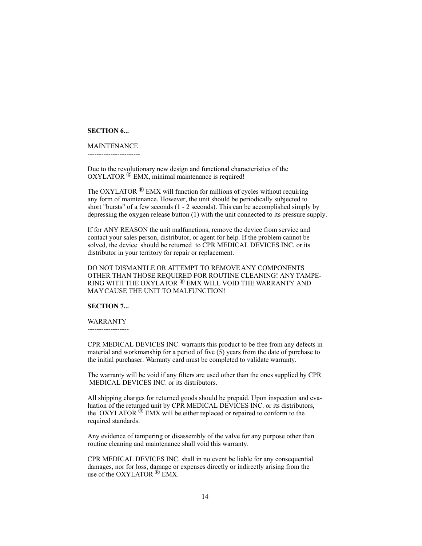#### **SECTION 6...**

#### MAINTENANCE

-----------------------

Due to the revolutionary new design and functional characteristics of the  $OXYLATOR$ <sup> $\&$ </sup> EMX, minimal maintenance is required!

The OXYLATOR  $\mathbb{R}$  EMX will function for millions of cycles without requiring any form of maintenance. However, the unit should be periodically subjected to short "bursts" of a few seconds (1 - 2 seconds). This can be accomplished simply by depressing the oxygen release button (1) with the unit connected to its pressure supply.

If for ANY REASON the unit malfunctions, remove the device from service and contact your sales person, distributor, or agent for help. If the problem cannot be solved, the device should be returned to CPR MEDICAL DEVICES INC. or its distributor in your territory for repair or replacement.

DO NOT DISMANTLE OR ATTEMPT TO REMOVE ANY COMPONENTS OTHER THAN THOSE REQUIRED FOR ROUTINE CLEANING! ANY TAMPE-RING WITH THE OXYLATOR  $^\circledR$  EMX WILL VOID THE WARRANTY AND MAY CAUSE THE UNIT TO MALFUNCTION!

## **SECTION 7...**

#### WARRANTY

------------------

CPR MEDICAL DEVICES INC. warrants this product to be free from any defects in material and workmanship for a period of five (5) years from the date of purchase to the initial purchaser. Warranty card must be completed to validate warranty.

The warranty will be void if any filters are used other than the ones supplied by CPR MEDICAL DEVICES INC. or its distributors.

All shipping charges for returned goods should be prepaid. Upon inspection and evaluation of the returned unit by CPR MEDICAL DEVICES INC. or its distributors, the OXYLATOR  $\mathcal{R}$  EMX will be either replaced or repaired to conform to the required standards.

Any evidence of tampering or disassembly of the valve for any purpose other than routine cleaning and maintenance shall void this warranty.

CPR MEDICAL DEVICES INC. shall in no event be liable for any consequential damages, nor for loss, damage or expenses directly or indirectly arising from the use of the OXYLATOR  $\bigcirc$  EMX.